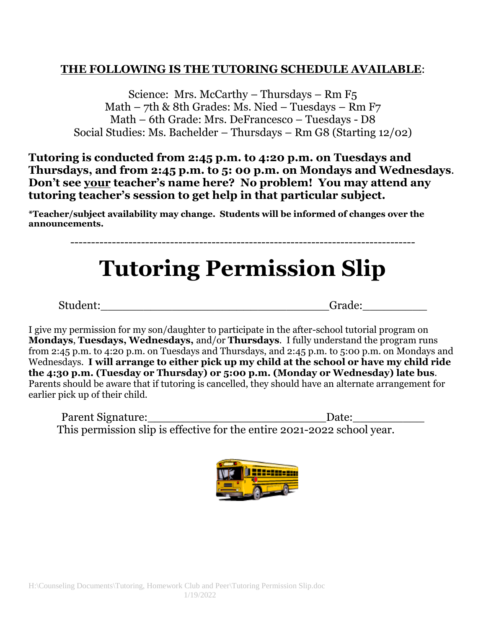## **THE FOLLOWING IS THE TUTORING SCHEDULE AVAILABLE**:

Science: Mrs. McCarthy – Thursdays – Rm F5 Math – 7th & 8th Grades: Ms. Nied – Tuesdays – Rm F7 Math – 6th Grade: Mrs. DeFrancesco – Tuesdays - D8 Social Studies: Ms. Bachelder – Thursdays – Rm G8 (Starting 12/02)

**Tutoring is conducted from 2:45 p.m. to 4:20 p.m. on Tuesdays and Thursdays, and from 2:45 p.m. to 5: 00 p.m. on Mondays and Wednesdays**. **Don't see your teacher's name here? No problem! You may attend any tutoring teacher's session to get help in that particular subject.**

**\*Teacher/subject availability may change. Students will be informed of changes over the announcements.** 

## **Tutoring Permission Slip**

-----------------------------------------------------------------------------------

Student:\_\_\_\_\_\_\_\_\_\_\_\_\_\_\_\_\_\_\_\_\_\_\_\_\_\_\_\_\_\_\_\_Grade:\_\_\_\_\_\_\_\_\_

I give my permission for my son/daughter to participate in the after-school tutorial program on **Mondays**, **Tuesdays, Wednesdays,** and/or **Thursdays**. I fully understand the program runs from 2:45 p.m. to 4:20 p.m. on Tuesdays and Thursdays, and 2:45 p.m. to 5:00 p.m. on Mondays and Wednesdays. **I will arrange to either pick up my child at the school or have my child ride the 4:30 p.m. (Tuesday or Thursday) or 5:00 p.m. (Monday or Wednesday) late bus**. Parents should be aware that if tutoring is cancelled, they should have an alternate arrangement for earlier pick up of their child.

Parent Signature:\_\_\_\_\_\_\_\_\_\_\_\_\_\_\_\_\_\_\_\_\_\_\_\_\_Date:\_\_\_\_\_\_\_\_\_\_ This permission slip is effective for the entire 2021-2022 school year.